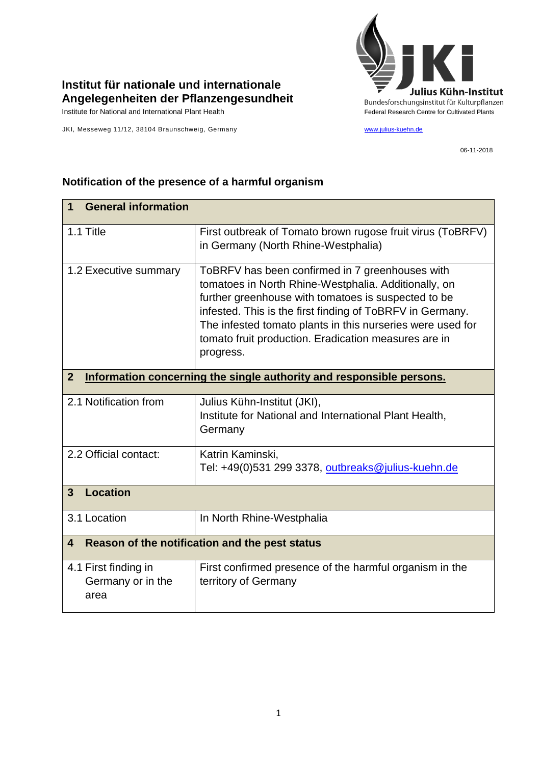

## **Institut für nationale und internationale Angelegenheiten der Pflanzengesundheit**

JKI, Messeweg 11/12, 38104 Braunschweig, Germany [www.julius-kuehn.de](http://www.julius-kuehn.de/)

06-11-2018

| <b>General information</b><br>1                                                        |                                                                                                                                                                                                                                                                                                                                                                |  |
|----------------------------------------------------------------------------------------|----------------------------------------------------------------------------------------------------------------------------------------------------------------------------------------------------------------------------------------------------------------------------------------------------------------------------------------------------------------|--|
| 1.1 Title                                                                              | First outbreak of Tomato brown rugose fruit virus (ToBRFV)<br>in Germany (North Rhine-Westphalia)                                                                                                                                                                                                                                                              |  |
| 1.2 Executive summary                                                                  | ToBRFV has been confirmed in 7 greenhouses with<br>tomatoes in North Rhine-Westphalia. Additionally, on<br>further greenhouse with tomatoes is suspected to be<br>infested. This is the first finding of ToBRFV in Germany.<br>The infested tomato plants in this nurseries were used for<br>tomato fruit production. Eradication measures are in<br>progress. |  |
| Information concerning the single authority and responsible persons.<br>$\overline{2}$ |                                                                                                                                                                                                                                                                                                                                                                |  |
| 2.1 Notification from                                                                  | Julius Kühn-Institut (JKI),<br>Institute for National and International Plant Health,<br>Germany                                                                                                                                                                                                                                                               |  |
| 2.2 Official contact:                                                                  | Katrin Kaminski,<br>Tel: +49(0)531 299 3378, outbreaks@julius-kuehn.de                                                                                                                                                                                                                                                                                         |  |
| <b>Location</b><br>$\overline{3}$                                                      |                                                                                                                                                                                                                                                                                                                                                                |  |
| 3.1 Location                                                                           | In North Rhine-Westphalia                                                                                                                                                                                                                                                                                                                                      |  |
| Reason of the notification and the pest status<br>4                                    |                                                                                                                                                                                                                                                                                                                                                                |  |
| 4.1 First finding in<br>Germany or in the<br>area                                      | First confirmed presence of the harmful organism in the<br>territory of Germany                                                                                                                                                                                                                                                                                |  |

## **Notification of the presence of a harmful organism**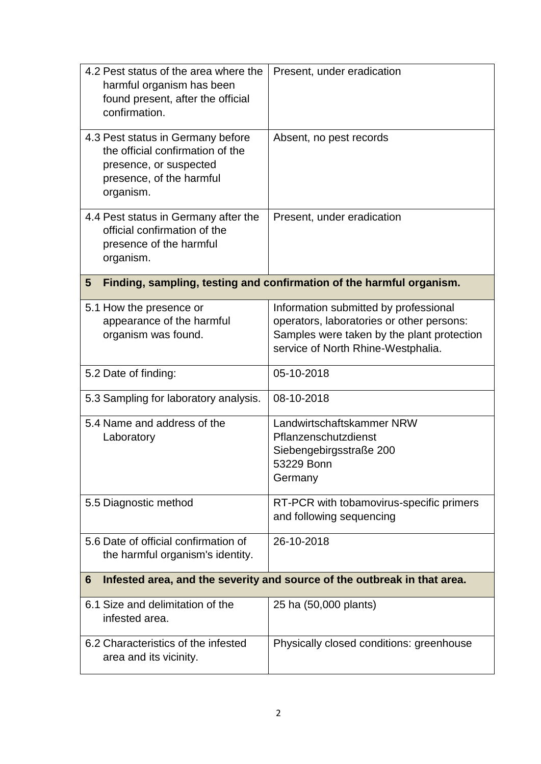| 4.2 Pest status of the area where the<br>harmful organism has been<br>found present, after the official<br>confirmation.                 | Present, under eradication                                                                                                                                             |  |
|------------------------------------------------------------------------------------------------------------------------------------------|------------------------------------------------------------------------------------------------------------------------------------------------------------------------|--|
| 4.3 Pest status in Germany before<br>the official confirmation of the<br>presence, or suspected<br>presence, of the harmful<br>organism. | Absent, no pest records                                                                                                                                                |  |
| 4.4 Pest status in Germany after the<br>official confirmation of the<br>presence of the harmful<br>organism.                             | Present, under eradication                                                                                                                                             |  |
| 5                                                                                                                                        | Finding, sampling, testing and confirmation of the harmful organism.                                                                                                   |  |
| 5.1 How the presence or<br>appearance of the harmful<br>organism was found.                                                              | Information submitted by professional<br>operators, laboratories or other persons:<br>Samples were taken by the plant protection<br>service of North Rhine-Westphalia. |  |
| 5.2 Date of finding:                                                                                                                     | 05-10-2018                                                                                                                                                             |  |
| 5.3 Sampling for laboratory analysis.                                                                                                    | 08-10-2018                                                                                                                                                             |  |
| 5.4 Name and address of the<br>Laboratory                                                                                                | Landwirtschaftskammer NRW<br>Pflanzenschutzdienst<br>Siebengebirgsstraße 200<br>53229 Bonn<br>Germany                                                                  |  |
| 5.5 Diagnostic method                                                                                                                    | RT-PCR with tobamovirus-specific primers<br>and following sequencing                                                                                                   |  |
| 5.6 Date of official confirmation of<br>the harmful organism's identity.                                                                 | 26-10-2018                                                                                                                                                             |  |
| Infested area, and the severity and source of the outbreak in that area.<br>6                                                            |                                                                                                                                                                        |  |
| 6.1 Size and delimitation of the<br>infested area.                                                                                       | 25 ha (50,000 plants)                                                                                                                                                  |  |
| 6.2 Characteristics of the infested<br>area and its vicinity.                                                                            | Physically closed conditions: greenhouse                                                                                                                               |  |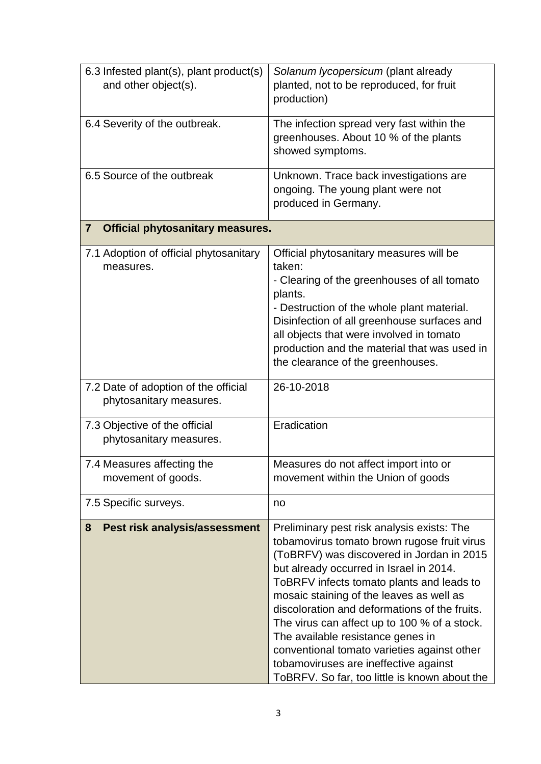| 6.3 Infested plant(s), plant product(s)                   | Solanum lycopersicum (plant already           |
|-----------------------------------------------------------|-----------------------------------------------|
| and other object(s).                                      | planted, not to be reproduced, for fruit      |
|                                                           | production)                                   |
|                                                           |                                               |
| 6.4 Severity of the outbreak.                             | The infection spread very fast within the     |
|                                                           | greenhouses. About 10 % of the plants         |
|                                                           | showed symptoms.                              |
| 6.5 Source of the outbreak                                | Unknown. Trace back investigations are        |
|                                                           | ongoing. The young plant were not             |
|                                                           | produced in Germany.                          |
| <b>Official phytosanitary measures.</b><br>$\overline{7}$ |                                               |
|                                                           |                                               |
| 7.1 Adoption of official phytosanitary                    | Official phytosanitary measures will be       |
| measures.                                                 | taken:                                        |
|                                                           | - Clearing of the greenhouses of all tomato   |
|                                                           | plants.                                       |
|                                                           | - Destruction of the whole plant material.    |
|                                                           | Disinfection of all greenhouse surfaces and   |
|                                                           | all objects that were involved in tomato      |
|                                                           | production and the material that was used in  |
|                                                           | the clearance of the greenhouses.             |
| 7.2 Date of adoption of the official                      | 26-10-2018                                    |
| phytosanitary measures.                                   |                                               |
|                                                           |                                               |
| 7.3 Objective of the official                             | Eradication                                   |
| phytosanitary measures.                                   |                                               |
| 7.4 Measures affecting the                                | Measures do not affect import into or         |
| movement of goods.                                        | movement within the Union of goods            |
|                                                           |                                               |
| 7.5 Specific surveys.                                     | no                                            |
| Pest risk analysis/assessment<br>8                        | Preliminary pest risk analysis exists: The    |
|                                                           | tobamovirus tomato brown rugose fruit virus   |
|                                                           | (ToBRFV) was discovered in Jordan in 2015     |
|                                                           | but already occurred in Israel in 2014.       |
|                                                           | ToBRFV infects tomato plants and leads to     |
|                                                           | mosaic staining of the leaves as well as      |
|                                                           | discoloration and deformations of the fruits. |
|                                                           | The virus can affect up to 100 % of a stock.  |
|                                                           | The available resistance genes in             |
|                                                           | conventional tomato varieties against other   |
|                                                           | tobamoviruses are ineffective against         |
|                                                           | ToBRFV. So far, too little is known about the |